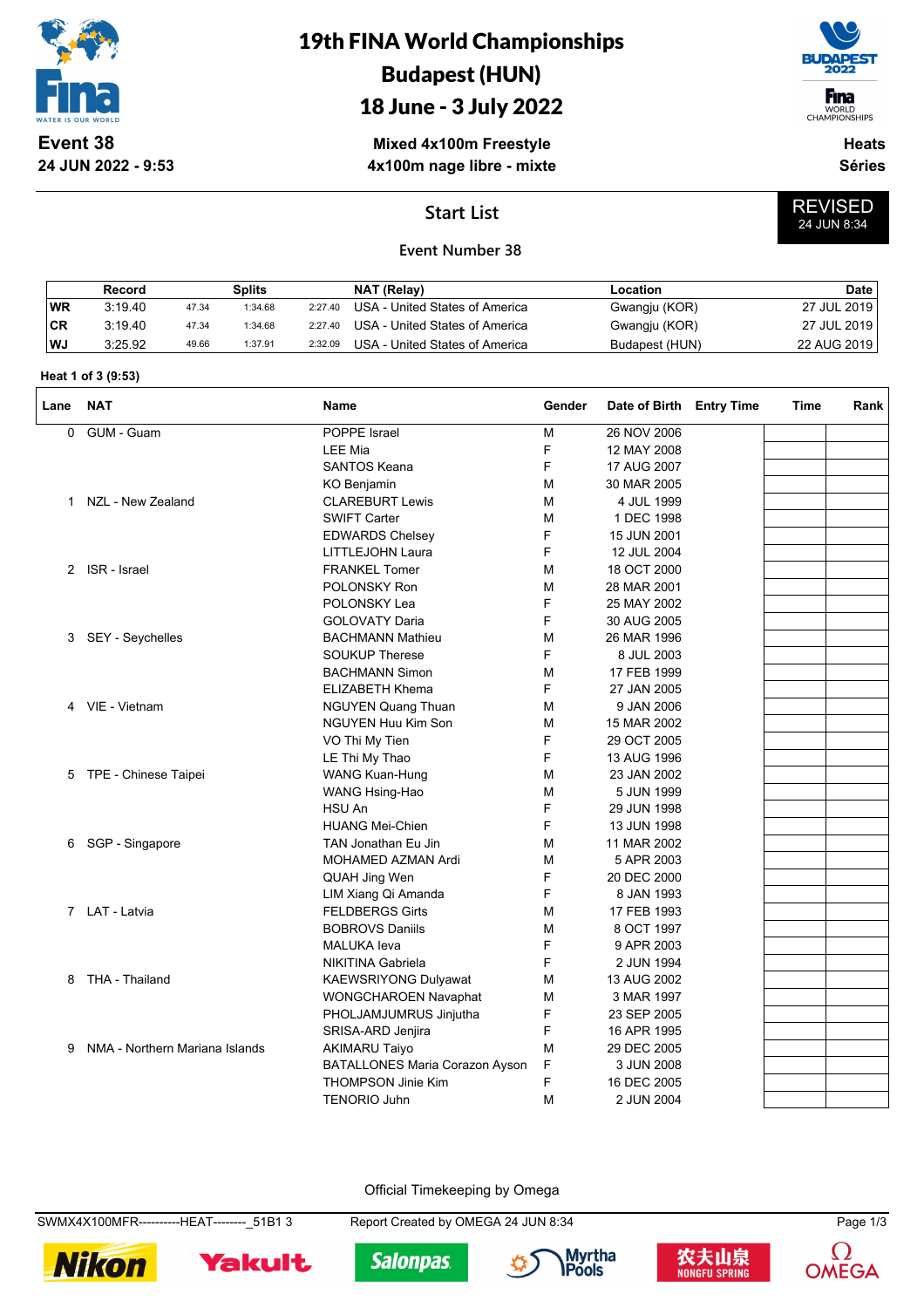

**24 JUN 2022 - 9:53**

# 19th FINA World Championships Budapest (HUN)

## 18 June - 3 July 2022

**Mixed 4x100m Freestyle 4x100m nage libre - mixte**



WORLD<br>CHAMPIONSHIPS

REVISED 24 JUN 8:34

**Heats Séries**

### **Start List**

#### **Event Number 38**

|            | Record  |       | Splits  |         | NAT (Relay)                    | Location       | Date        |
|------------|---------|-------|---------|---------|--------------------------------|----------------|-------------|
| <b>WR</b>  | 3:19.40 | 47.34 | 1:34.68 | 2:27.40 | USA - United States of America | Gwangju (KOR)  | 27 JUL 2019 |
| <b>ICR</b> | 3:19.40 | 47.34 | 1:34.68 | 2:27.40 | USA - United States of America | Gwangju (KOR)  | 27 JUL 2019 |
| l WJ       | 3:25.92 | 49.66 | 1:37.91 | 2:32.09 | USA - United States of America | Budapest (HUN) | 22 AUG 2019 |

#### **Heat 1 of 3 (9:53)**

| Lane | <b>NAT</b>                     | <b>Name</b>                    | Gender | Date of Birth Entry Time | Time | Rank |
|------|--------------------------------|--------------------------------|--------|--------------------------|------|------|
| 0    | GUM - Guam                     | POPPE Israel                   | M      | 26 NOV 2006              |      |      |
|      |                                | <b>LEE Mia</b>                 | F      | 12 MAY 2008              |      |      |
|      |                                | <b>SANTOS Keana</b>            | F      | 17 AUG 2007              |      |      |
|      |                                | KO Benjamin                    | M      | 30 MAR 2005              |      |      |
|      | 1 NZL - New Zealand            | <b>CLAREBURT Lewis</b>         | M      | 4 JUL 1999               |      |      |
|      |                                | <b>SWIFT Carter</b>            | M      | 1 DEC 1998               |      |      |
|      |                                | <b>EDWARDS Chelsey</b>         | F      | 15 JUN 2001              |      |      |
|      |                                | LITTLEJOHN Laura               | F      | 12 JUL 2004              |      |      |
| 2    | ISR - Israel                   | <b>FRANKEL Tomer</b>           | M      | 18 OCT 2000              |      |      |
|      |                                | POLONSKY Ron                   | M      | 28 MAR 2001              |      |      |
|      |                                | POLONSKY Lea                   | F      | 25 MAY 2002              |      |      |
|      |                                | <b>GOLOVATY Daria</b>          | F      | 30 AUG 2005              |      |      |
| 3    | SEY - Seychelles               | <b>BACHMANN Mathieu</b>        | M      | 26 MAR 1996              |      |      |
|      |                                | <b>SOUKUP Therese</b>          | F      | 8 JUL 2003               |      |      |
|      |                                | <b>BACHMANN Simon</b>          | M      | 17 FEB 1999              |      |      |
|      |                                | <b>ELIZABETH Khema</b>         | F      | 27 JAN 2005              |      |      |
|      | 4 VIE - Vietnam                | <b>NGUYEN Quang Thuan</b>      | M      | 9 JAN 2006               |      |      |
|      |                                | NGUYEN Huu Kim Son             | M      | 15 MAR 2002              |      |      |
|      |                                | VO Thi My Tien                 | F      | 29 OCT 2005              |      |      |
|      |                                | LE Thi My Thao                 | F      | 13 AUG 1996              |      |      |
| 5    | TPE - Chinese Taipei           | <b>WANG Kuan-Hung</b>          | M      | 23 JAN 2002              |      |      |
|      |                                | WANG Hsing-Hao                 | М      | 5 JUN 1999               |      |      |
|      |                                | HSU An                         | F      | 29 JUN 1998              |      |      |
|      |                                | <b>HUANG Mei-Chien</b>         | F      | 13 JUN 1998              |      |      |
| 6    | SGP - Singapore                | TAN Jonathan Eu Jin            | M      | 11 MAR 2002              |      |      |
|      |                                | MOHAMED AZMAN Ardi             | M      | 5 APR 2003               |      |      |
|      |                                | QUAH Jing Wen                  | F      | 20 DEC 2000              |      |      |
|      |                                | LIM Xiang Qi Amanda            | F      | 8 JAN 1993               |      |      |
|      | 7 LAT - Latvia                 | <b>FELDBERGS Girts</b>         | M      | 17 FEB 1993              |      |      |
|      |                                | <b>BOBROVS Daniils</b>         | M      | 8 OCT 1997               |      |      |
|      |                                | <b>MALUKA</b> leva             | F      | 9 APR 2003               |      |      |
|      |                                | <b>NIKITINA Gabriela</b>       | F      | 2 JUN 1994               |      |      |
| 8    | THA - Thailand                 | <b>KAEWSRIYONG Dulyawat</b>    | M      | 13 AUG 2002              |      |      |
|      |                                | WONGCHAROEN Navaphat           | M      | 3 MAR 1997               |      |      |
|      |                                | PHOLJAMJUMRUS Jinjutha         | F      | 23 SEP 2005              |      |      |
|      |                                | SRISA-ARD Jenjira              | F      | 16 APR 1995              |      |      |
| 9    | NMA - Northern Mariana Islands | <b>AKIMARU Taiyo</b>           | M      | 29 DEC 2005              |      |      |
|      |                                | BATALLONES Maria Corazon Ayson | F      | 3 JUN 2008               |      |      |
|      |                                | <b>THOMPSON Jinie Kim</b>      | F      | 16 DEC 2005              |      |      |
|      |                                | <b>TENORIO Juhn</b>            | М      | 2 JUN 2004               |      |      |
|      |                                |                                |        |                          |      |      |

Official Timekeeping by Omega

SWMX4X100MFR----------HEAT--------\_51B1 3 Report Created by OMEGA 24 JUN 8:34 Page 1/3



Yakult







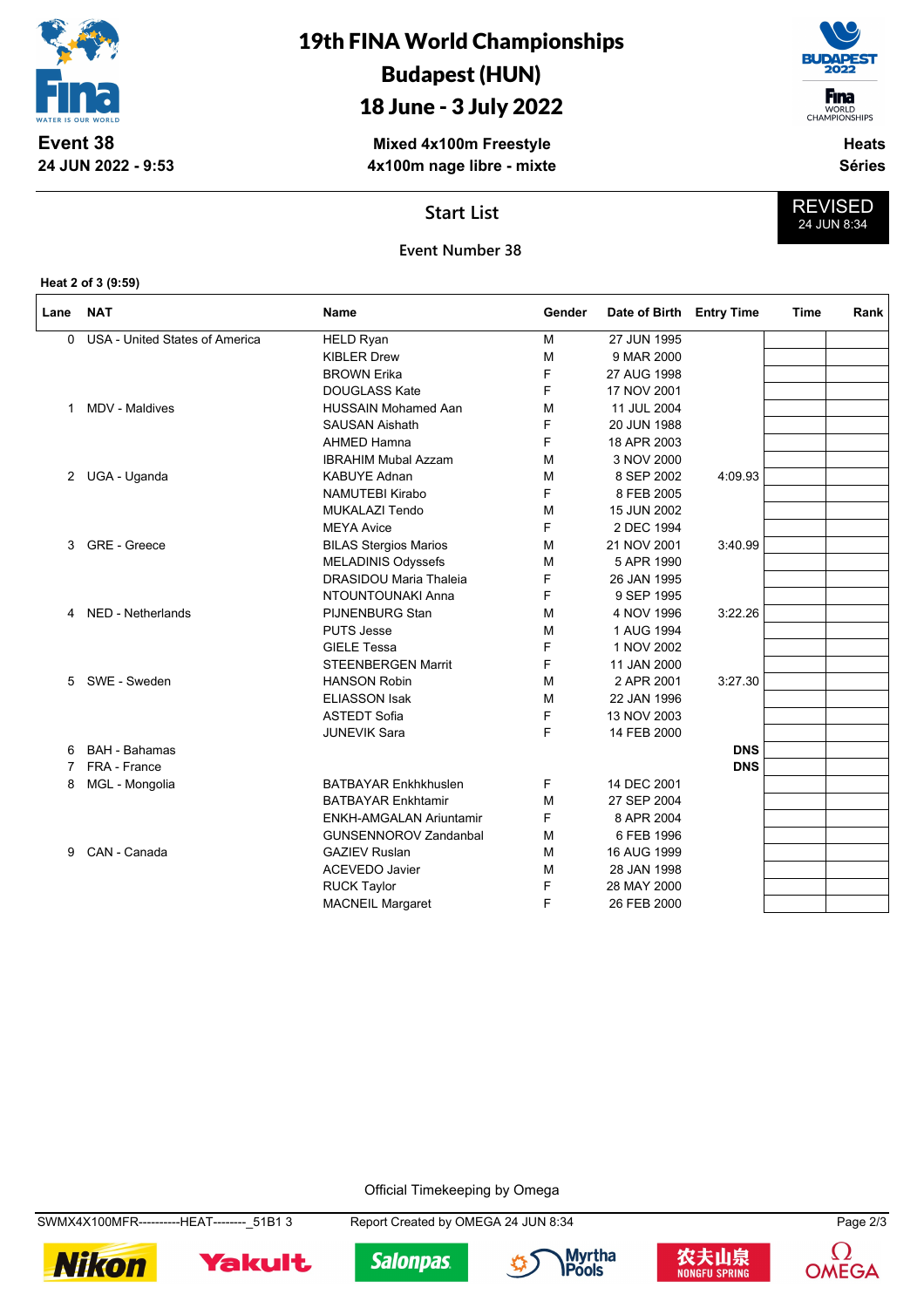

**24 JUN 2022 - 9:53**

## 19th FINA World Championships Budapest (HUN)

## 18 June - 3 July 2022

**Mixed 4x100m Freestyle 4x100m nage libre - mixte**



**Heats**

**Séries**

REVISED 24 JUN 8:34

#### **Start List**

#### **Event Number 38**

**Heat 2 of 3 (9:59)**

| Lane | <b>NAT</b>                     | Name                           | Gender | Date of Birth | <b>Entry Time</b> | Time | Rank |
|------|--------------------------------|--------------------------------|--------|---------------|-------------------|------|------|
| 0    | USA - United States of America | <b>HELD Ryan</b>               | M      | 27 JUN 1995   |                   |      |      |
|      |                                | <b>KIBLER Drew</b>             | М      | 9 MAR 2000    |                   |      |      |
|      |                                | <b>BROWN Erika</b>             | F      | 27 AUG 1998   |                   |      |      |
|      |                                | <b>DOUGLASS Kate</b>           | F      | 17 NOV 2001   |                   |      |      |
| 1    | MDV - Maldives                 | <b>HUSSAIN Mohamed Aan</b>     | м      | 11 JUL 2004   |                   |      |      |
|      |                                | <b>SAUSAN Aishath</b>          | F      | 20 JUN 1988   |                   |      |      |
|      |                                | <b>AHMED Hamna</b>             | F      | 18 APR 2003   |                   |      |      |
|      |                                | <b>IBRAHIM Mubal Azzam</b>     | M      | 3 NOV 2000    |                   |      |      |
|      | 2 UGA - Uganda                 | <b>KABUYE Adnan</b>            | M      | 8 SEP 2002    | 4:09.93           |      |      |
|      |                                | <b>NAMUTEBI Kirabo</b>         | F      | 8 FEB 2005    |                   |      |      |
|      |                                | <b>MUKALAZI Tendo</b>          | M      | 15 JUN 2002   |                   |      |      |
|      |                                | <b>MEYA Avice</b>              | F      | 2 DEC 1994    |                   |      |      |
| 3    | GRE - Greece                   | <b>BILAS Stergios Marios</b>   | M      | 21 NOV 2001   | 3:40.99           |      |      |
|      |                                | MELADINIS Odyssefs             | М      | 5 APR 1990    |                   |      |      |
|      |                                | <b>DRASIDOU Maria Thaleia</b>  | F      | 26 JAN 1995   |                   |      |      |
|      |                                | NTOUNTOUNAKI Anna              | F      | 9 SEP 1995    |                   |      |      |
| 4    | NED - Netherlands              | <b>PIJNENBURG Stan</b>         | м      | 4 NOV 1996    | 3:22.26           |      |      |
|      |                                | <b>PUTS Jesse</b>              | М      | 1 AUG 1994    |                   |      |      |
|      |                                | <b>GIELE Tessa</b>             | F      | 1 NOV 2002    |                   |      |      |
|      |                                | <b>STEENBERGEN Marrit</b>      | F      | 11 JAN 2000   |                   |      |      |
| 5    | SWE - Sweden                   | <b>HANSON Robin</b>            | м      | 2 APR 2001    | 3:27.30           |      |      |
|      |                                | <b>ELIASSON Isak</b>           | м      | 22 JAN 1996   |                   |      |      |
|      |                                | <b>ASTEDT Sofia</b>            | F      | 13 NOV 2003   |                   |      |      |
|      |                                | <b>JUNEVIK Sara</b>            | F      | 14 FEB 2000   |                   |      |      |
| 6    | <b>BAH - Bahamas</b>           |                                |        |               | <b>DNS</b>        |      |      |
| 7    | FRA - France                   |                                |        |               | <b>DNS</b>        |      |      |
| 8    | MGL - Mongolia                 | <b>BATBAYAR Enkhkhuslen</b>    | F      | 14 DEC 2001   |                   |      |      |
|      |                                | <b>BATBAYAR Enkhtamir</b>      | м      | 27 SEP 2004   |                   |      |      |
|      |                                | <b>ENKH-AMGALAN Ariuntamir</b> | F      | 8 APR 2004    |                   |      |      |
|      |                                | <b>GUNSENNOROV Zandanbal</b>   | M      | 6 FEB 1996    |                   |      |      |
| 9    | CAN - Canada                   | <b>GAZIEV Ruslan</b>           | м      | 16 AUG 1999   |                   |      |      |
|      |                                | <b>ACEVEDO Javier</b>          | M      | 28 JAN 1998   |                   |      |      |
|      |                                | <b>RUCK Taylor</b>             | F      | 28 MAY 2000   |                   |      |      |
|      |                                | <b>MACNEIL Margaret</b>        | F      | 26 FEB 2000   |                   |      |      |

Official Timekeeping by Omega

SWMX4X100MFR----------HEAT--------\_51B1 3 Report Created by OMEGA 24 JUN 8:34 Page 2/3